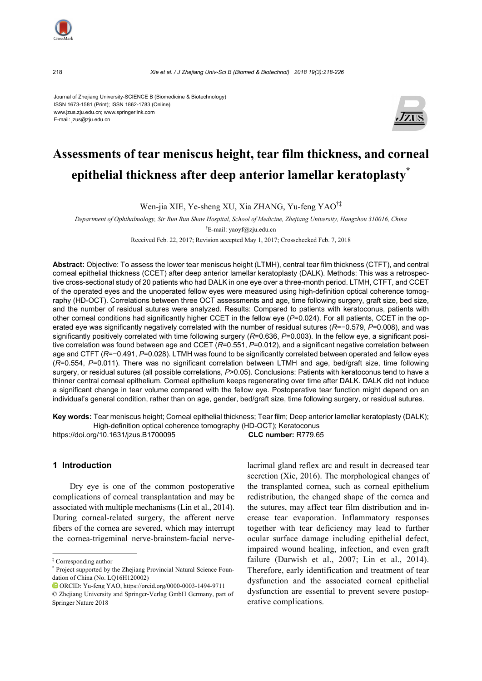

218 *Xie et al*. */ J Zhejiang Univ-Sci B (Biomed & Biotechnol) 2018 19(3):218-226*

Journal of Zhejiang University-SCIENCE B (Biomedicine & Biotechnology) ISSN 1673-1581 (Print); ISSN 1862-1783 (Online) www.jzus.zju.edu.cn; www.springerlink.com E-mail: jzus@zju.edu.cn



# **Assessments of tear meniscus height, tear film thickness, and corneal epithelial thickness after deep anterior lamellar keratoplasty\***

Wen-jia XIE, Ye-sheng XU, Xia ZHANG, Yu-feng YAO†‡

*Department of Ophthalmology, Sir Run Run Shaw Hospital, School of Medicine, Zhejiang University, Hangzhou 310016, China*  † E-mail: yaoyf@zju.edu.cn

Received Feb. 22, 2017; Revision accepted May 1, 2017; Crosschecked Feb. 7, 2018

**Abstract:** Objective: To assess the lower tear meniscus height (LTMH), central tear film thickness (CTFT), and central corneal epithelial thickness (CCET) after deep anterior lamellar keratoplasty (DALK). Methods: This was a retrospective cross-sectional study of 20 patients who had DALK in one eye over a three-month period. LTMH, CTFT, and CCET of the operated eyes and the unoperated fellow eyes were measured using high-definition optical coherence tomography (HD-OCT). Correlations between three OCT assessments and age, time following surgery, graft size, bed size, and the number of residual sutures were analyzed. Results: Compared to patients with keratoconus, patients with other corneal conditions had significantly higher CCET in the fellow eye (*P*=0.024). For all patients, CCET in the operated eye was significantly negatively correlated with the number of residual sutures (*R*=−0.579, *P*=0.008), and was significantly positively correlated with time following surgery (*R*=0.636, *P*=0.003). In the fellow eye, a significant positive correlation was found between age and CCET (*R*=0.551, *P*=0.012), and a significant negative correlation between age and CTFT (*R*=−0.491, *P*=0.028). LTMH was found to be significantly correlated between operated and fellow eyes (*R*=0.554, *P*=0.011). There was no significant correlation between LTMH and age, bed/graft size, time following surgery, or residual sutures (all possible correlations, *P*>0.05). Conclusions: Patients with keratoconus tend to have a thinner central corneal epithelium. Corneal epithelium keeps regenerating over time after DALK. DALK did not induce a significant change in tear volume compared with the fellow eye. Postoperative tear function might depend on an individual's general condition, rather than on age, gender, bed/graft size, time following surgery, or residual sutures.

**Key words:** Tear meniscus height; Corneal epithelial thickness; Tear film; Deep anterior lamellar keratoplasty (DALK); High-definition optical coherence tomography (HD-OCT); Keratoconus https://doi.org/10.1631/jzus.B1700095 **CLC number:** R779.65

# **1 Introduction**

Dry eye is one of the common postoperative complications of corneal transplantation and may be associated with multiple mechanisms (Lin et al., 2014). During corneal-related surgery, the afferent nerve fibers of the cornea are severed, which may interrupt the cornea-trigeminal nerve-brainstem-facial nerve-

‡ Corresponding author

lacrimal gland reflex arc and result in decreased tear secretion (Xie, 2016). The morphological changes of the transplanted cornea, such as corneal epithelium redistribution, the changed shape of the cornea and the sutures, may affect tear film distribution and increase tear evaporation. Inflammatory responses together with tear deficiency may lead to further ocular surface damage including epithelial defect, impaired wound healing, infection, and even graft failure (Darwish et al., 2007; Lin et al., 2014). Therefore, early identification and treatment of tear dysfunction and the associated corneal epithelial dysfunction are essential to prevent severe postoperative complications.

<sup>\*</sup> Project supported by the Zhejiang Provincial Natural Science Foundation of China (No. LQ16H120002)

ORCID: Yu-feng YAO, https://orcid.org/0000-0003-1494-9711 © Zhejiang University and Springer-Verlag GmbH Germany, part of Springer Nature 2018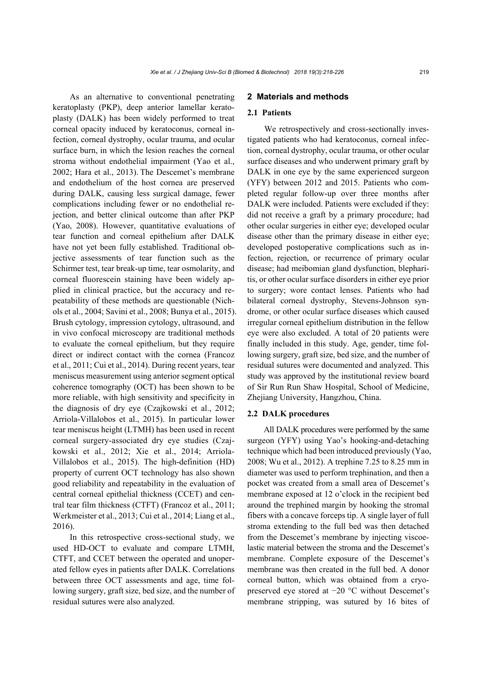As an alternative to conventional penetrating keratoplasty (PKP), deep anterior lamellar keratoplasty (DALK) has been widely performed to treat corneal opacity induced by keratoconus, corneal infection, corneal dystrophy, ocular trauma, and ocular surface burn, in which the lesion reaches the corneal stroma without endothelial impairment (Yao et al., 2002; Hara et al., 2013). The Descemet's membrane and endothelium of the host cornea are preserved during DALK, causing less surgical damage, fewer complications including fewer or no endothelial rejection, and better clinical outcome than after PKP (Yao, 2008). However, quantitative evaluations of tear function and corneal epithelium after DALK have not yet been fully established. Traditional objective assessments of tear function such as the Schirmer test, tear break-up time, tear osmolarity, and corneal fluorescein staining have been widely applied in clinical practice, but the accuracy and repeatability of these methods are questionable (Nichols et al., 2004; Savini et al., 2008; Bunya et al., 2015). Brush cytology, impression cytology, ultrasound, and in vivo confocal microscopy are traditional methods to evaluate the corneal epithelium, but they require direct or indirect contact with the cornea (Francoz et al., 2011; Cui et al., 2014). During recent years, tear meniscus measurement using anterior segment optical coherence tomography (OCT) has been shown to be more reliable, with high sensitivity and specificity in the diagnosis of dry eye (Czajkowski et al., 2012; Arriola-Villalobos et al., 2015). In particular lower tear meniscus height (LTMH) has been used in recent corneal surgery-associated dry eye studies (Czajkowski et al., 2012; Xie et al., 2014; Arriola-Villalobos et al., 2015). The high-definition (HD) property of current OCT technology has also shown good reliability and repeatability in the evaluation of central corneal epithelial thickness (CCET) and central tear film thickness (CTFT) (Francoz et al., 2011; Werkmeister et al., 2013; Cui et al., 2014; Liang et al., 2016).

In this retrospective cross-sectional study, we used HD-OCT to evaluate and compare LTMH, CTFT, and CCET between the operated and unoperated fellow eyes in patients after DALK. Correlations between three OCT assessments and age, time following surgery, graft size, bed size, and the number of residual sutures were also analyzed.

#### **2 Materials and methods**

#### **2.1 Patients**

We retrospectively and cross-sectionally investigated patients who had keratoconus, corneal infection, corneal dystrophy, ocular trauma, or other ocular surface diseases and who underwent primary graft by DALK in one eye by the same experienced surgeon (YFY) between 2012 and 2015. Patients who completed regular follow-up over three months after DALK were included. Patients were excluded if they: did not receive a graft by a primary procedure; had other ocular surgeries in either eye; developed ocular disease other than the primary disease in either eye; developed postoperative complications such as infection, rejection, or recurrence of primary ocular disease; had meibomian gland dysfunction, blepharitis, or other ocular surface disorders in either eye prior to surgery; wore contact lenses. Patients who had bilateral corneal dystrophy, Stevens-Johnson syndrome, or other ocular surface diseases which caused irregular corneal epithelium distribution in the fellow eye were also excluded. A total of 20 patients were finally included in this study. Age, gender, time following surgery, graft size, bed size, and the number of residual sutures were documented and analyzed. This study was approved by the institutional review board of Sir Run Run Shaw Hospital, School of Medicine, Zhejiang University, Hangzhou, China.

## **2.2 DALK procedures**

All DALK procedures were performed by the same surgeon (YFY) using Yao's hooking-and-detaching technique which had been introduced previously (Yao, 2008; Wu et al., 2012). A trephine 7.25 to 8.25 mm in diameter was used to perform trephination, and then a pocket was created from a small area of Descemet's membrane exposed at 12 o'clock in the recipient bed around the trephined margin by hooking the stromal fibers with a concave forceps tip. A single layer of full stroma extending to the full bed was then detached from the Descemet's membrane by injecting viscoelastic material between the stroma and the Descemet's membrane. Complete exposure of the Descemet's membrane was then created in the full bed. A donor corneal button, which was obtained from a cryopreserved eye stored at −20 °C without Descemet's membrane stripping, was sutured by 16 bites of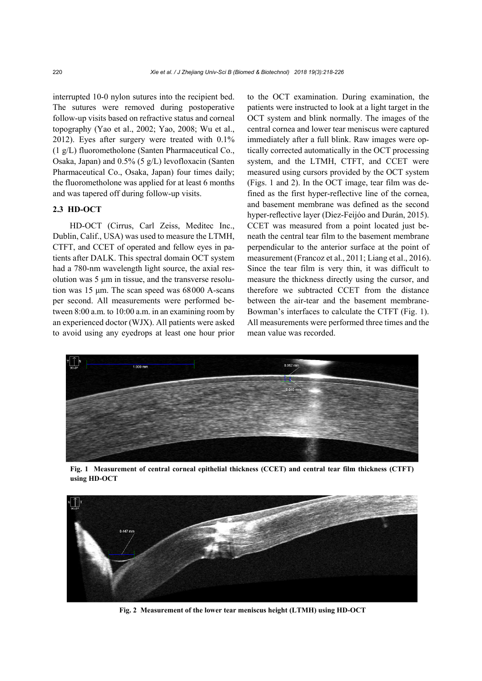interrupted 10-0 nylon sutures into the recipient bed. The sutures were removed during postoperative follow-up visits based on refractive status and corneal topography (Yao et al., 2002; Yao, 2008; Wu et al., 2012). Eyes after surgery were treated with 0.1% (1 g/L) fluorometholone (Santen Pharmaceutical Co., Osaka, Japan) and 0.5% (5 g/L) levofloxacin (Santen Pharmaceutical Co., Osaka, Japan) four times daily; the fluorometholone was applied for at least 6 months and was tapered off during follow-up visits.

# **2.3 HD-OCT**

HD-OCT (Cirrus, Carl Zeiss, Meditec Inc., Dublin, Calif., USA) was used to measure the LTMH, CTFT, and CCET of operated and fellow eyes in patients after DALK. This spectral domain OCT system had a 780-nm wavelength light source, the axial resolution was 5 μm in tissue, and the transverse resolution was 15 μm. The scan speed was 68000 A-scans per second. All measurements were performed between 8:00 a.m. to 10:00 a.m. in an examining room by an experienced doctor (WJX). All patients were asked to avoid using any eyedrops at least one hour prior to the OCT examination. During examination, the patients were instructed to look at a light target in the OCT system and blink normally. The images of the central cornea and lower tear meniscus were captured immediately after a full blink. Raw images were optically corrected automatically in the OCT processing system, and the LTMH, CTFT, and CCET were measured using cursors provided by the OCT system (Figs. 1 and 2). In the OCT image, tear film was defined as the first hyper-reflective line of the cornea, and basement membrane was defined as the second hyper-reflective layer (Diez-Feijóo and Durán, 2015). CCET was measured from a point located just beneath the central tear film to the basement membrane perpendicular to the anterior surface at the point of measurement (Francoz et al., 2011; Liang et al., 2016). Since the tear film is very thin, it was difficult to measure the thickness directly using the cursor, and therefore we subtracted CCET from the distance between the air-tear and the basement membrane-Bowman's interfaces to calculate the CTFT (Fig. 1). All measurements were performed three times and the mean value was recorded.



**Fig. 1 Measurement of central corneal epithelial thickness (CCET) and central tear film thickness (CTFT) using HD-OCT** 



**Fig. 2 Measurement of the lower tear meniscus height (LTMH) using HD-OCT**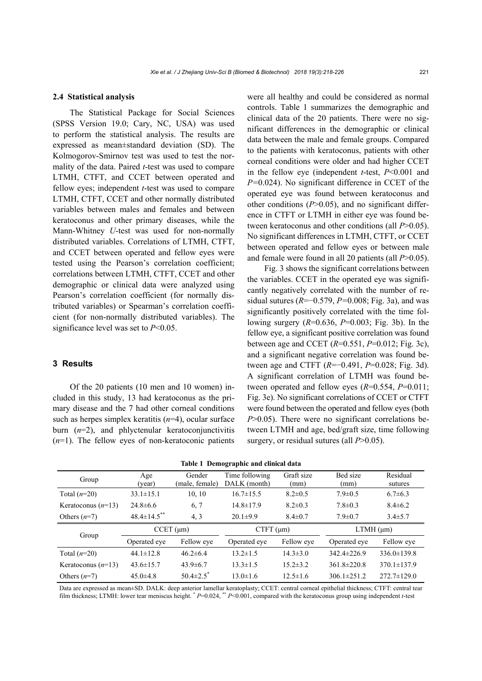#### **2.4 Statistical analysis**

The Statistical Package for Social Sciences (SPSS Version 19.0; Cary, NC, USA) was used to perform the statistical analysis. The results are expressed as mean±standard deviation (SD). The Kolmogorov-Smirnov test was used to test the normality of the data. Paired *t*-test was used to compare LTMH, CTFT, and CCET between operated and fellow eyes; independent *t*-test was used to compare LTMH, CTFT, CCET and other normally distributed variables between males and females and between keratoconus and other primary diseases, while the Mann-Whitney *U*-test was used for non-normally distributed variables. Correlations of LTMH, CTFT, and CCET between operated and fellow eyes were tested using the Pearson's correlation coefficient; correlations between LTMH, CTFT, CCET and other demographic or clinical data were analyzed using Pearson's correlation coefficient (for normally distributed variables) or Spearman's correlation coefficient (for non-normally distributed variables). The significance level was set to *P*<0.05.

#### **3 Results**

Of the 20 patients (10 men and 10 women) included in this study, 13 had keratoconus as the primary disease and the 7 had other corneal conditions such as herpes simplex keratitis (*n*=4), ocular surface burn  $(n=2)$ , and phlyctenular keratoconjunctivitis (*n*=1). The fellow eyes of non-keratoconic patients

were all healthy and could be considered as normal controls. Table 1 summarizes the demographic and clinical data of the 20 patients. There were no significant differences in the demographic or clinical data between the male and female groups. Compared to the patients with keratoconus, patients with other corneal conditions were older and had higher CCET in the fellow eye (independent *t*-test, *P*<0.001 and *P=*0.024). No significant difference in CCET of the operated eye was found between keratoconus and other conditions  $(P>0.05)$ , and no significant difference in CTFT or LTMH in either eye was found between keratoconus and other conditions (all *P*>0.05). No significant differences in LTMH, CTFT, or CCET between operated and fellow eyes or between male and female were found in all 20 patients (all *P*>0.05).

Fig. 3 shows the significant correlations between the variables. CCET in the operated eye was significantly negatively correlated with the number of residual sutures (*R*=−0.579, *P=*0.008; Fig. 3a), and was significantly positively correlated with the time following surgery (*R*=0.636, *P*=0.003; Fig. 3b). In the fellow eye, a significant positive correlation was found between age and CCET (*R*=0.551, *P*=0.012; Fig. 3c), and a significant negative correlation was found between age and CTFT (*R*=−0.491, *P*=0.028; Fig. 3d). A significant correlation of LTMH was found between operated and fellow eyes  $(R=0.554, P=0.011)$ ; Fig. 3e). No significant correlations of CCET or CTFT were found between the operated and fellow eyes (both *P*>0.05). There were no significant correlations between LTMH and age, bed/graft size, time following surgery, or residual sutures (all *P*>0.05).

| Table 1 Demographic and emilical data |                    |                          |                                |                    |                   |                     |
|---------------------------------------|--------------------|--------------------------|--------------------------------|--------------------|-------------------|---------------------|
| Group                                 | Age<br>year)       | Gender<br>(male, female) | Time following<br>DALK (month) | Graft size<br>(mm) | Bed size<br>(mm)  | Residual<br>sutures |
|                                       |                    |                          |                                |                    |                   |                     |
| Total $(n=20)$                        | $33.1 \pm 15.1$    | 10, 10                   | $16.7 \pm 15.5$                | $8.2 \pm 0.5$      | $7.9 \pm 0.5$     | $6.7\pm6.3$         |
| Keratoconus $(n=13)$                  | $24.8\pm 6.6$      | 6.7                      | $14.8 \pm 17.9$                | $8.2 \pm 0.3$      | $7.8 \pm 0.3$     | $8.4 \pm 6.2$       |
| Others $(n=7)$                        | $48.4 \pm 14.5$ ** | 4.3                      | $20.1 \pm 9.9$                 | $8.4 \pm 0.7$      | $7.9 \pm 0.7$     | $3.4 \pm 5.7$       |
|                                       |                    |                          |                                |                    |                   |                     |
|                                       |                    | CCEPT (µm)               | $CTFT$ ( $\mu$ m)              |                    |                   | $LTMH$ ( $µm$ )     |
| Group                                 | Operated eye       | Fellow eye               | Operated eye                   | Fellow eye         | Operated eye      | Fellow eye          |
| Total $(n=20)$                        | $44.1 \pm 12.8$    | $46.2 \pm 6.4$           | $13.2 \pm 1.5$                 | $14.3 \pm 3.0$     | 342.4±226.9       | $336.0 \pm 139.8$   |
| Keratoconus $(n=13)$                  | $43.6 \pm 15.7$    | $43.9 \pm 6.7$           | $13.3 \pm 1.5$                 | $15.2 \pm 3.2$     | $361.8 \pm 220.8$ | $370.1 \pm 137.9$   |

**Table 1 Demographic and clinical data** 

Data are expressed as mean±SD. DALK: deep anterior lamellar keratoplasty; CCET: central corneal epithelial thickness; CTFT: central tear film thickness; LTMH: lower tear meniscus height. \* *P*=0.024, \*\* *P*<0.001, compared with the keratoconus group using independent *t*-test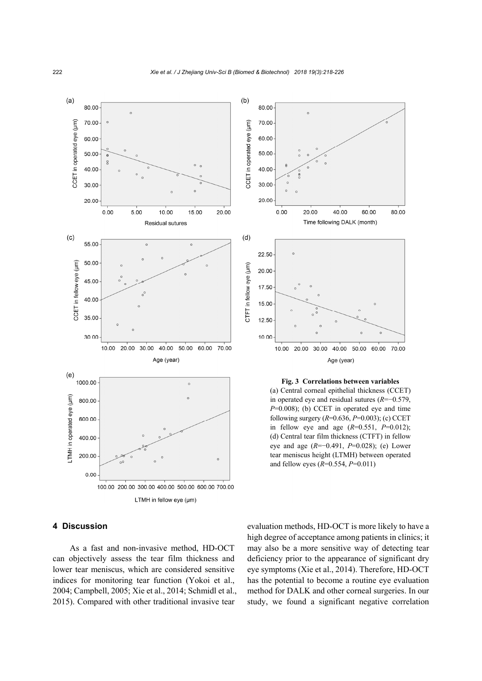

#### **4 Discussion**

As a fast and non-invasive method, HD-OCT can objectively assess the tear film thickness and lower tear meniscus, which are considered sensitive indices for monitoring tear function (Yokoi et al., 2004; Campbell, 2005; Xie et al., 2014; Schmidl et al., 2015). Compared with other traditional invasive tear

evaluation methods, HD-OCT is more likely to have a high degree of acceptance among patients in clinics; it may also be a more sensitive way of detecting tear deficiency prior to the appearance of significant dry eye symptoms (Xie et al., 2014). Therefore, HD-OCT has the potential to become a routine eye evaluation method for DALK and other corneal surgeries. In our study, we found a significant negative correlation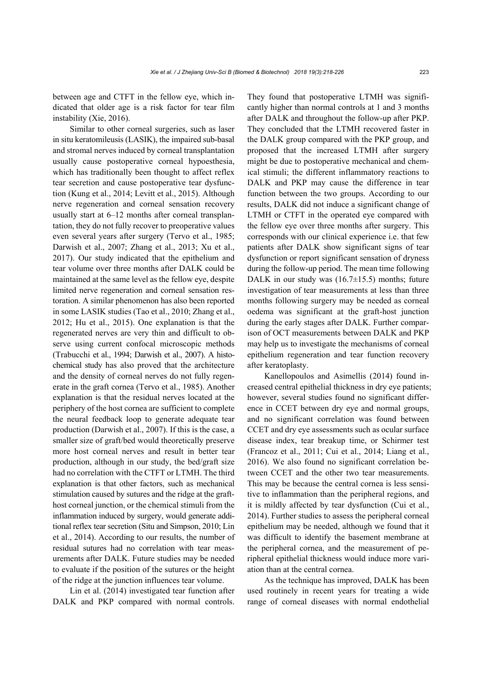between age and CTFT in the fellow eye, which indicated that older age is a risk factor for tear film instability (Xie, 2016).

Similar to other corneal surgeries, such as laser in situ keratomileusis (LASIK), the impaired sub-basal and stromal nerves induced by corneal transplantation usually cause postoperative corneal hypoesthesia, which has traditionally been thought to affect reflex tear secretion and cause postoperative tear dysfunction (Kung et al., 2014; Levitt et al., 2015). Although nerve regeneration and corneal sensation recovery usually start at  $6-12$  months after corneal transplantation, they do not fully recover to preoperative values even several years after surgery (Tervo et al., 1985; Darwish et al., 2007; Zhang et al., 2013; Xu et al., 2017). Our study indicated that the epithelium and tear volume over three months after DALK could be maintained at the same level as the fellow eye, despite limited nerve regeneration and corneal sensation restoration. A similar phenomenon has also been reported in some LASIK studies (Tao et al., 2010; Zhang et al., 2012; Hu et al., 2015). One explanation is that the regenerated nerves are very thin and difficult to observe using current confocal microscopic methods (Trabucchi et al., 1994; Darwish et al., 2007). A histochemical study has also proved that the architecture and the density of corneal nerves do not fully regenerate in the graft cornea (Tervo et al., 1985). Another explanation is that the residual nerves located at the periphery of the host cornea are sufficient to complete the neural feedback loop to generate adequate tear production (Darwish et al., 2007). If this is the case, a smaller size of graft/bed would theoretically preserve more host corneal nerves and result in better tear production, although in our study, the bed/graft size had no correlation with the CTFT or LTMH. The third explanation is that other factors, such as mechanical stimulation caused by sutures and the ridge at the grafthost corneal junction, or the chemical stimuli from the inflammation induced by surgery, would generate additional reflex tear secretion (Situ and Simpson, 2010; Lin et al., 2014). According to our results, the number of residual sutures had no correlation with tear measurements after DALK. Future studies may be needed to evaluate if the position of the sutures or the height of the ridge at the junction influences tear volume.

Lin et al. (2014) investigated tear function after DALK and PKP compared with normal controls.

They found that postoperative LTMH was significantly higher than normal controls at 1 and 3 months after DALK and throughout the follow-up after PKP. They concluded that the LTMH recovered faster in the DALK group compared with the PKP group, and proposed that the increased LTMH after surgery might be due to postoperative mechanical and chemical stimuli; the different inflammatory reactions to DALK and PKP may cause the difference in tear function between the two groups. According to our results, DALK did not induce a significant change of LTMH or CTFT in the operated eye compared with the fellow eye over three months after surgery. This corresponds with our clinical experience i.e. that few patients after DALK show significant signs of tear dysfunction or report significant sensation of dryness during the follow-up period. The mean time following DALK in our study was  $(16.7\pm15.5)$  months; future investigation of tear measurements at less than three months following surgery may be needed as corneal oedema was significant at the graft-host junction during the early stages after DALK. Further comparison of OCT measurements between DALK and PKP may help us to investigate the mechanisms of corneal epithelium regeneration and tear function recovery after keratoplasty.

Kanellopoulos and Asimellis (2014) found increased central epithelial thickness in dry eye patients; however, several studies found no significant difference in CCET between dry eye and normal groups, and no significant correlation was found between CCET and dry eye assessments such as ocular surface disease index, tear breakup time, or Schirmer test (Francoz et al., 2011; Cui et al., 2014; Liang et al., 2016). We also found no significant correlation between CCET and the other two tear measurements. This may be because the central cornea is less sensitive to inflammation than the peripheral regions, and it is mildly affected by tear dysfunction (Cui et al., 2014). Further studies to assess the peripheral corneal epithelium may be needed, although we found that it was difficult to identify the basement membrane at the peripheral cornea, and the measurement of peripheral epithelial thickness would induce more variation than at the central cornea.

As the technique has improved, DALK has been used routinely in recent years for treating a wide range of corneal diseases with normal endothelial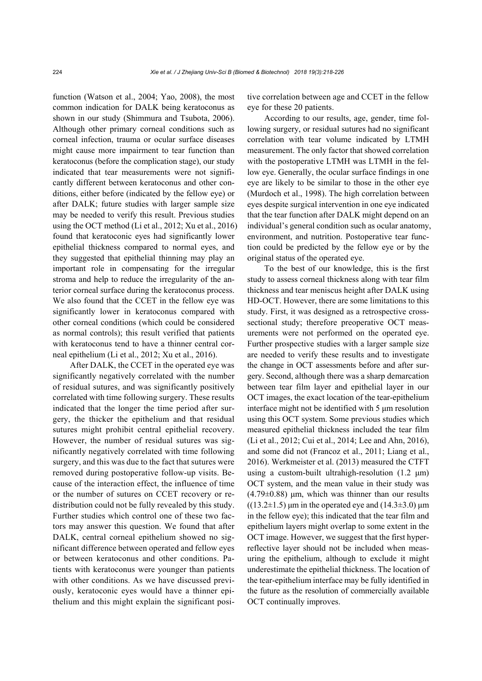function (Watson et al., 2004; Yao, 2008), the most common indication for DALK being keratoconus as shown in our study (Shimmura and Tsubota, 2006). Although other primary corneal conditions such as corneal infection, trauma or ocular surface diseases might cause more impairment to tear function than keratoconus (before the complication stage), our study indicated that tear measurements were not significantly different between keratoconus and other conditions, either before (indicated by the fellow eye) or after DALK; future studies with larger sample size may be needed to verify this result. Previous studies using the OCT method (Li et al., 2012; Xu et al., 2016) found that keratoconic eyes had significantly lower epithelial thickness compared to normal eyes, and they suggested that epithelial thinning may play an important role in compensating for the irregular stroma and help to reduce the irregularity of the anterior corneal surface during the keratoconus process. We also found that the CCET in the fellow eye was significantly lower in keratoconus compared with other corneal conditions (which could be considered as normal controls); this result verified that patients with keratoconus tend to have a thinner central corneal epithelium (Li et al., 2012; Xu et al., 2016).

After DALK, the CCET in the operated eye was significantly negatively correlated with the number of residual sutures, and was significantly positively correlated with time following surgery. These results indicated that the longer the time period after surgery, the thicker the epithelium and that residual sutures might prohibit central epithelial recovery. However, the number of residual sutures was significantly negatively correlated with time following surgery, and this was due to the fact that sutures were removed during postoperative follow-up visits. Because of the interaction effect, the influence of time or the number of sutures on CCET recovery or redistribution could not be fully revealed by this study. Further studies which control one of these two factors may answer this question. We found that after DALK, central corneal epithelium showed no significant difference between operated and fellow eyes or between keratoconus and other conditions. Patients with keratoconus were younger than patients with other conditions. As we have discussed previously, keratoconic eyes would have a thinner epithelium and this might explain the significant positive correlation between age and CCET in the fellow eye for these 20 patients.

According to our results, age, gender, time following surgery, or residual sutures had no significant correlation with tear volume indicated by LTMH measurement. The only factor that showed correlation with the postoperative LTMH was LTMH in the fellow eye. Generally, the ocular surface findings in one eye are likely to be similar to those in the other eye (Murdoch et al., 1998). The high correlation between eyes despite surgical intervention in one eye indicated that the tear function after DALK might depend on an individual's general condition such as ocular anatomy, environment, and nutrition. Postoperative tear function could be predicted by the fellow eye or by the original status of the operated eye.

To the best of our knowledge, this is the first study to assess corneal thickness along with tear film thickness and tear meniscus height after DALK using HD-OCT. However, there are some limitations to this study. First, it was designed as a retrospective crosssectional study; therefore preoperative OCT measurements were not performed on the operated eye. Further prospective studies with a larger sample size are needed to verify these results and to investigate the change in OCT assessments before and after surgery. Second, although there was a sharp demarcation between tear film layer and epithelial layer in our OCT images, the exact location of the tear-epithelium interface might not be identified with 5 μm resolution using this OCT system. Some previous studies which measured epithelial thickness included the tear film (Li et al., 2012; Cui et al., 2014; Lee and Ahn, 2016), and some did not (Francoz et al., 2011; Liang et al., 2016). Werkmeister et al. (2013) measured the CTFT using a custom-built ultrahigh-resolution (1.2 μm) OCT system, and the mean value in their study was  $(4.79\pm0.88)$  μm, which was thinner than our results  $((13.2\pm 1.5)$  μm in the operated eye and  $(14.3\pm 3.0)$  μm in the fellow eye); this indicated that the tear film and epithelium layers might overlap to some extent in the OCT image. However, we suggest that the first hyperreflective layer should not be included when measuring the epithelium, although to exclude it might underestimate the epithelial thickness. The location of the tear-epithelium interface may be fully identified in the future as the resolution of commercially available OCT continually improves.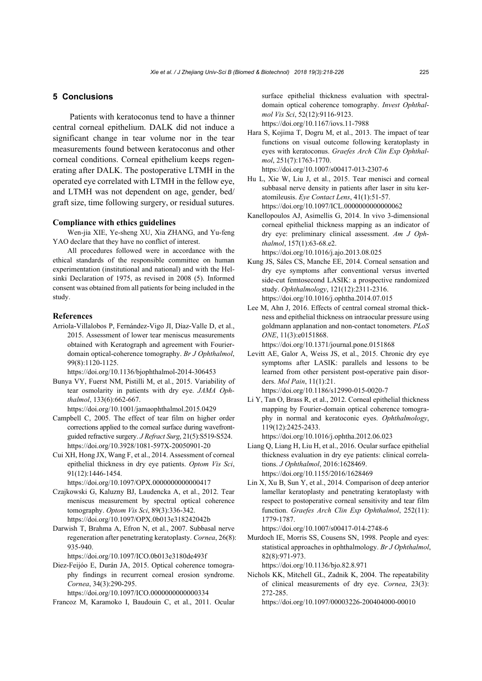#### **5 Conclusions**

Patients with keratoconus tend to have a thinner central corneal epithelium. DALK did not induce a significant change in tear volume nor in the tear measurements found between keratoconus and other corneal conditions. Corneal epithelium keeps regenerating after DALK. The postoperative LTMH in the operated eye correlated with LTMH in the fellow eye, and LTMH was not dependent on age, gender, bed/ graft size, time following surgery, or residual sutures.

#### **Compliance with ethics guidelines**

Wen-jia XIE, Ye-sheng XU, Xia ZHANG, and Yu-feng YAO declare that they have no conflict of interest.

All procedures followed were in accordance with the ethical standards of the responsible committee on human experimentation (institutional and national) and with the Helsinki Declaration of 1975, as revised in 2008 (5). Informed consent was obtained from all patients for being included in the study.

## **References**

Arriola-Villalobos P, Fernández-Vigo JI, Díaz-Valle D, et al., 2015. Assessment of lower tear meniscus measurements obtained with Keratograph and agreement with Fourierdomain optical-coherence tomography. *Br J Ophthalmol*, 99(8):1120-1125.

https://doi.org/10.1136/bjophthalmol-2014-306453

- Bunya VY, Fuerst NM, Pistilli M, et al., 2015. Variability of tear osmolarity in patients with dry eye. *JAMA Ophthalmol*, 133(6):662-667. https://doi.org/10.1001/jamaophthalmol.2015.0429
- Campbell C, 2005. The effect of tear film on higher order corrections applied to the corneal surface during wavefrontguided refractive surgery. *J Refract Surg*, 21(5):S519-S524. https://doi.org/10.3928/1081-597X-20050901-20
- Cui XH, Hong JX, Wang F, et al., 2014. Assessment of corneal epithelial thickness in dry eye patients. *Optom Vis Sci*, 91(12):1446-1454.

https://doi.org/10.1097/OPX.0000000000000417

Czajkowski G, Kaluzny BJ, Laudencka A, et al., 2012. Tear meniscus measurement by spectral optical coherence tomography. *Optom Vis Sci*, 89(3):336-342. https://doi.org/10.1097/OPX.0b013e318242042b

Darwish T, Brahma A, Efron N, et al., 2007. Subbasal nerve regeneration after penetrating keratoplasty. *Cornea*, 26(8): 935-940.

https://doi.org/10.1097/ICO.0b013e3180de493f

Diez-Feijóo E, Durán JA, 2015. Optical coherence tomography findings in recurrent corneal erosion syndrome. *Cornea*, 34(3):290-295. https://doi.org/10.1097/ICO.0000000000000334

Francoz M, Karamoko I, Baudouin C, et al., 2011. Ocular

surface epithelial thickness evaluation with spectraldomain optical coherence tomography. *Invest Ophthalmol Vis Sci*, 52(12):9116-9123. https://doi.org/10.1167/iovs.11-7988

- Hara S, Kojima T, Dogru M, et al., 2013. The impact of tear functions on visual outcome following keratoplasty in eyes with keratoconus. *Graefes Arch Clin Exp Ophthalmol*, 251(7):1763-1770. https://doi.org/10.1007/s00417-013-2307-6
- Hu L, Xie W, Liu J, et al., 2015. Tear menisci and corneal subbasal nerve density in patients after laser in situ keratomileusis. *Eye Contact Lens*, 41(1):51-57. https://doi.org/10.1097/ICL.0000000000000062
- Kanellopoulos AJ, Asimellis G, 2014. In vivo 3-dimensional corneal epithelial thickness mapping as an indicator of dry eye: preliminary clinical assessment. *Am J Ophthalmol*, 157(1):63-68.e2. https://doi.org/10.1016/j.ajo.2013.08.025
- Kung JS, Sáles CS, Manche EE, 2014. Corneal sensation and dry eye symptoms after conventional versus inverted side-cut femtosecond LASIK: a prospective randomized study. *Ophthalmology*, 121(12):2311-2316. https://doi.org/10.1016/j.ophtha.2014.07.015
- Lee M, Ahn J, 2016. Effects of central corneal stromal thickness and epithelial thickness on intraocular pressure using goldmann applanation and non-contact tonometers. *PLoS ONE*, 11(3):e0151868.

https://doi.org/10.1371/journal.pone.0151868

- Levitt AE, Galor A, Weiss JS, et al., 2015. Chronic dry eye symptoms after LASIK: parallels and lessons to be learned from other persistent post-operative pain disorders. *Mol Pain*, 11(1):21. https://doi.org/10.1186/s12990-015-0020-7
- Li Y, Tan O, Brass R, et al., 2012. Corneal epithelial thickness mapping by Fourier-domain optical coherence tomography in normal and keratoconic eyes. *Ophthalmology*, 119(12):2425-2433.

https://doi.org/10.1016/j.ophtha.2012.06.023

- Liang Q, Liang H, Liu H, et al., 2016. Ocular surface epithelial thickness evaluation in dry eye patients: clinical correlations. *J Ophthalmol*, 2016:1628469. https://doi.org/10.1155/2016/1628469
- Lin X, Xu B, Sun Y, et al., 2014. Comparison of deep anterior lamellar keratoplasty and penetrating keratoplasty with respect to postoperative corneal sensitivity and tear film function. *Graefes Arch Clin Exp Ophthalmol*, 252(11): 1779-1787.

https://doi.org/10.1007/s00417-014-2748-6

- Murdoch IE, Morris SS, Cousens SN, 1998. People and eyes: statistical approaches in ophthalmology. *Br J Ophthalmol*, 82(8):971-973. https://doi.org/10.1136/bjo.82.8.971
- Nichols KK, Mitchell GL, Zadnik K, 2004. The repeatability of clinical measurements of dry eye. *Cornea*, 23(3): 272-285.

https://doi.org/10.1097/00003226-200404000-00010